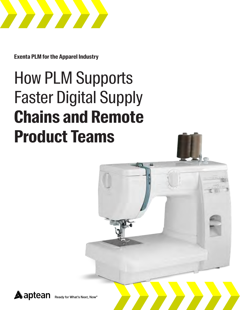

**Exenta PLM for the Apparel Industry**

# How PLM Supports Faster Digital Supply **Chains and Remote Product Teams**

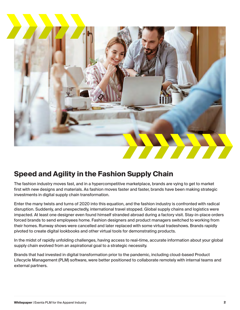

## **Speed and Agility in the Fashion Supply Chain**

The fashion industry moves fast, and in a hypercompetitive marketplace, brands are vying to get to market first with new designs and materials. As fashion moves faster and faster, brands have been making strategic investments in digital supply chain transformation.

Enter the many twists and turns of 2020 into this equation, and the fashion industry is confronted with radical disruption. Suddenly, and unexpectedly, international travel stopped. Global supply chains and logistics were impacted. At least one designer even found himself stranded abroad during a factory visit. Stay-in-place orders forced brands to send employees home. Fashion designers and product managers switched to working from their homes. Runway shows were cancelled and later replaced with some virtual tradeshows. Brands rapidly pivoted to create digital lookbooks and other virtual tools for demonstrating products.

In the midst of rapidly unfolding challenges, having access to real-time, accurate information about your global supply chain evolved from an aspirational goal to a strategic necessity.

Brands that had invested in digital transformation prior to the pandemic, including cloud-based Product Lifecycle Management (PLM) software, were better positioned to collaborate remotely with internal teams and external partners.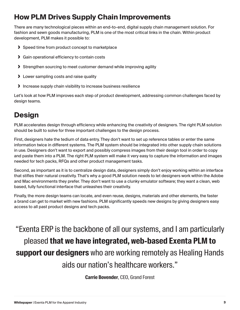# **How PLM Drives Supply Chain Improvements**

There are many technological pieces within an end-to-end, digital supply chain management solution. For fashion and sewn goods manufacturing, PLM is one of the most critical links in the chain. Within product development, PLM makes it possible to:

- **›** Speed time from product concept to marketplace
- **›** Gain operational efficiency to contain costs
- **›** Strengthen sourcing to meet customer demand while improving agility
- **›** Lower sampling costs and raise quality
- **›** Increase supply chain visibility to increase business resilience

Let's look at how PLM improves each step of product development, addressing common challenges faced by design teams.

# **Design**

PLM accelerates design through efficiency while enhancing the creativity of designers. The right PLM solution should be built to solve for three important challenges to the design process.

First, designers hate the tedium of data entry. They don't want to set up reference tables or enter the same information twice in different systems. The PLM system should be integrated into other supply chain solutions in use. Designers don't want to export and possibly compress images from their design tool in order to copy and paste them into a PLM. The right PLM system will make it very easy to capture the information and images needed for tech packs, RFQs and other product management tasks.

Second, as important as it is to centralize design data, designers simply don't enjoy working within an interface that stifles their natural creativity. That's why a good PLM solution needs to let designers work within the Adobe and Mac environments they prefer. They don't want to use a clunky emulator software; they want a clean, web based, fully functional interface that unleashes their creativity.

Finally, the more design teams can locate, and even reuse, designs, materials and other elements, the faster a brand can get to market with new fashions. PLM significantly speeds new designs by giving designers easy access to all past product designs and tech packs.

"Exenta ERP is the backbone of all our systems, and I am particularly pleased **that we have integrated, web-based Exenta PLM to support our designers** who are working remotely as Healing Hands aids our nation's healthcare workers."

**Carrie Bovender**, CEO, Grand Forest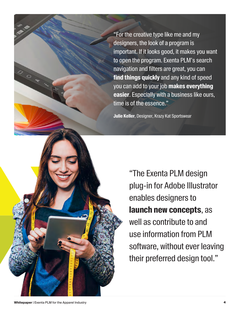"For the creative type like me and my designers, the look of a program is important. If it looks good, it makes you want to open the program. Exenta PLM's search navigation and filters are great, you can **find things quickly** and any kind of speed you can add to your job **makes everything easier**. Especially with a business like ours, time is of the essence."

**Julie Keller**, Designer, Krazy Kat Sportswear

"The Exenta PLM design plug-in for Adobe Illustrator enables designers to **launch new concepts**, as well as contribute to and use information from PLM software, without ever leaving their preferred design tool."

ON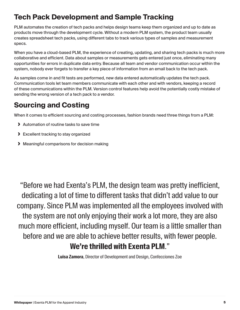# **Tech Pack Development and Sample Tracking**

PLM automates the creation of tech packs and helps design teams keep them organized and up to date as products move through the development cycle. Without a modern PLM system, the product team usually creates spreadsheet tech packs, using different tabs to track various types of samples and measurement specs.

When you have a cloud-based PLM, the experience of creating, updating, and sharing tech packs is much more collaborative and efficient. Data about samples or measurements gets entered just once, eliminating many opportunities for errors in duplicate data entry. Because all team and vendor communication occur within the system, nobody ever forgets to transfer a key piece of information from an email back to the tech pack.

As samples come in and fit tests are performed, new data entered automatically updates the tech pack. Communication tools let team members communicate with each other and with vendors, keeping a record of these communications within the PLM. Version control features help avoid the potentially costly mistake of sending the wrong version of a tech pack to a vendor.

# **Sourcing and Costing**

When it comes to efficient sourcing and costing processes, fashion brands need three things from a PLM:

- **›** Automation of routine tasks to save time
- **›** Excellent tracking to stay organized
- **›** Meaningful comparisons for decision making

"Before we had Exenta's PLM, the design team was pretty inefficient, dedicating a lot of time to different tasks that didn't add value to our company. Since PLM was implemented all the employees involved with the system are not only enjoying their work a lot more, they are also much more efficient, including myself. Our team is a little smaller than before and we are able to achieve better results, with fewer people. **We're thrilled with Exenta PLM**."

**Luisa Zamora**, Director of Development and Design, Confecciones Zoe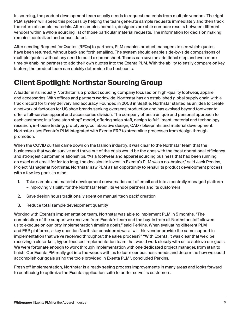In sourcing, the product development team usually needs to request materials from multiple vendors. The right PLM system will speed this process by helping the team generate sample requests immediately and then track the return of sample materials. After samples come in, designers are able compare results between different vendors within a whole sourcing list of those particular material requests. The information for decision making remains centralized and consolidated.

After sending Request for Quotes (RFQs) to partners, PLM enables product managers to see which quotes have been returned, without back and forth emailing. The system should enable side-by-side comparisons of multiple quotes without any need to build a spreadsheet. Teams can save an additional step and even more time by enabling partners to add their own quotes into the Exenta PLM. With the ability to easily compare on key factors, the product team can quickly determine the best costs.

# **Client Spotlight: Northstar Sourcing Group**

A leader in its industry, Northstar is a product sourcing company focused on high-quality footwear, apparel and accessories. With offices and partners worldwide, Northstar has an established global supply chain with a track record for timely delivery and accuracy. Founded in 2003 in Seattle, Northstar started as an idea to create a network of factories for US shoe brands seeking overseas production and has evolved beyond footwear to offer a full-service apparel and accessories division. The company offers a unique and personal approach to each customer, in a "one stop shop" model, offering sales staff, design to fulfillment, material and technology research, in-house testing, prototyping, collaborative design, CAD / blueprints and material development. Northstar uses Exenta's PLM integrated with Exenta ERP to streamline processes from design through promotion.

When the COVID curtain came down on the fashion industry, it was clear to the Northstar team that the businesses that would survive and thrive out of the crisis would be the ones with the most operational efficiency, and strongest customer relationships. "As a footwear and apparel sourcing business that had been running on excel and email for far too long, the decision to invest in Exenta's PLM was a no-brainer," said Jack Perkins, Project Manager at Northstar. Northstar saw PLM as an opportunity to rehaul its product development process with a few key goals in mind:

- 1. Take sample and material development conversation out of email and into a centrally managed platform – improving visibility for the Northstar team, its vendor partners and its customers
- 2. Save design hours traditionally spent on manual 'tech pack' creation
- 3. Reduce total sample development quantity

Working with Exenta's implementation team, Northstar was able to implement PLM in 5 months. "The combination of the support we received from Exenta's team and the buy-in from all Northstar staff allowed us to execute on our lofty implementation timeline goals," said Perkins. When evaluating different PLM and ERP platforms, a key question Northstar considered was: "will this vendor provide the same support in implementation that we've received throughout the sales process?" "With Exenta, it was clear that we'd be receiving a close-knit, hyper-focused implementation team that would work closely with us to achieve our goals. We were fortunate enough to work through implementation with one dedicated project manager, from start to finish. Our Exenta PM really got into the weeds with us to learn our business needs and determine how we could accomplish our goals using the tools provided in Exenta PLM", concluded Perkins.

Fresh off implementation, Northstar is already seeing process improvements in many areas and looks forward to continuing to optimize the Exenta application suite to better serve its customers.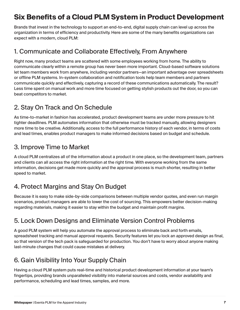# **Six Benefits of a Cloud PLM System in Product Development**

Brands that invest in the technology to support an end-to-end, digital supply chain can level up across the organization in terms of efficiency and productivity. Here are some of the many benefits organizations can expect with a modern, cloud PLM:

#### 1. Communicate and Collaborate Effectively, From Anywhere

Right now, many product teams are scattered with some employees working from home. The ability to communicate clearly within a remote group has never been more important. Cloud-based software solutions let team members work from anywhere, including vendor partners—an important advantage over spreadsheets or offline PLM systems. In-system collaboration and notification tools help team members and partners communicate quickly and effectively, capturing a record of these communications automatically. The result? Less time spent on manual work and more time focused on getting stylish products out the door, so you can beat competitors to market.

#### 2. Stay On Track and On Schedule

As time-to-market in fashion has accelerated, product development teams are under more pressure to hit tighter deadlines. PLM automates information that otherwise must be tracked manually, allowing designers more time to be creative. Additionally, access to the full performance history of each vendor, in terms of costs and lead times, enables product managers to make informed decisions based on budget and schedule.

#### 3. Improve Time to Market

A cloud PLM centralizes all of the information about a product in one place, so the development team, partners and clients can all access the right information at the right time. With everyone working from the same information, decisions get made more quickly and the approval process is much shorter, resulting in better speed to market.

#### 4. Protect Margins and Stay On Budget

Because it is easy to make side-by-side comparisons between multiple vendor quotes, and even run margin scenarios, product managers are able to lower the cost of sourcing. This empowers better decision-making regarding materials, making it easier to stay within the budget and maintain profit margins.

#### 5. Lock Down Designs and Eliminate Version Control Problems

A good PLM system will help you automate the approval process to eliminate back and forth emails, spreadsheet tracking and manual approval requests. Security features let you lock an approved design as final, so that version of the tech pack is safeguarded for production. You don't have to worry about anyone making last-minute changes that could cause mistakes at delivery.

## 6. Gain Visibility Into Your Supply Chain

Having a cloud PLM system puts real-time and historical product development information at your team's fingertips, providing brands unparalleled visibility into material sources and costs, vendor availability and performance, scheduling and lead times, samples, and more.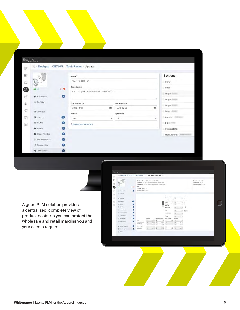| EXENTA                |           |                                             |   |                    |                 |                   |
|-----------------------|-----------|---------------------------------------------|---|--------------------|-----------------|-------------------|
|                       |           | ※ > Designs > CE710/3 > Tech Packs > Update |   |                    |                 |                   |
| 鄙                     |           | Name <sup>*</sup>                           |   |                    | <b>Sections</b> |                   |
| G)<br>$\sigma$        | $0 - 10$  | CE710-3 pack - 01                           |   |                    | Cover           |                   |
|                       |           | Description                                 |   |                    | Notes           |                   |
|                       |           | CE710-3 pack - Baby Bodysult - Denim Group  |   |                    | Image           |                   |
| Comments              | $\bullet$ |                                             |   |                    | Image           |                   |
| ☆ Favorite            |           | Completed On                                |   | <b>Review Date</b> |                 | Image             |
| Q Overview            |           | 2018-12-03                                  | 兽 | 2018-12-06         | 兽               | Image             |
|                       |           | Active                                      |   | Approved           |                 |                   |
| <b>E</b> Images       | (10)      | Yes                                         | ٠ | No                 | ٠,              | Colorway Enterway |
| <b>ED</b> BOMS        | $\bullet$ | & Download Tech Pack                        |   |                    |                 | BOM (Limit)       |
| Colors                | $\bullet$ |                                             |   |                    |                 | Constructions     |
| Color Palettes        | $\bullet$ |                                             |   |                    |                 | Measurements      |
| <b>3</b> Measurements | $\bullet$ |                                             |   |                    |                 |                   |
| <b>D</b> Construction | ۰         |                                             |   |                    |                 |                   |